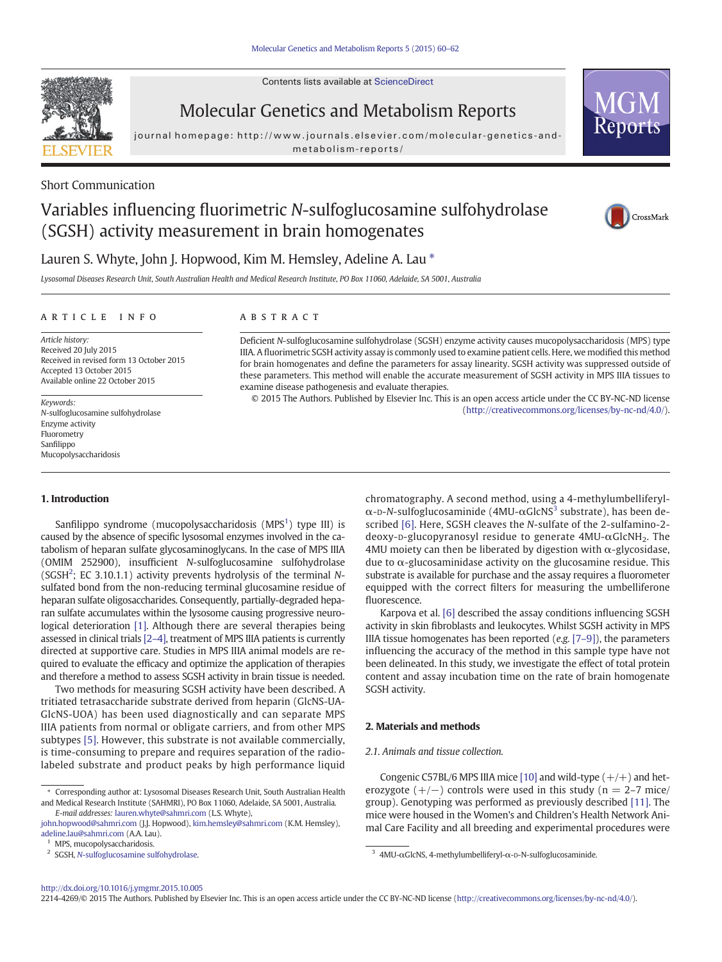Contents lists available at [ScienceDirect](http://www.sciencedirect.com/science/journal/22144269)



Molecular Genetics and Metabolism Reports

journal homepage: http://www.journals.elsevier.com/molecular-genetics-andmetabolism-reports/

Short Communication

# Variables influencing fluorimetric N-sulfoglucosamine sulfohydrolase (SGSH) activity measurement in brain homogenates



Reports

# Lauren S. Whyte, John J. Hopwood, Kim M. Hemsley, Adeline A. Lau  $*$

Lysosomal Diseases Research Unit, South Australian Health and Medical Research Institute, PO Box 11060, Adelaide, SA 5001, Australia

# article info abstract

Article history: Received 20 July 2015 Received in revised form 13 October 2015 Accepted 13 October 2015 Available online 22 October 2015

Keywords: N-sulfoglucosamine sulfohydrolase Enzyme activity Fluorometry Sanfilippo Mucopolysaccharidosis

IIIA. A fluorimetric SGSH activity assay is commonly used to examine patient cells. Here, we modified this method for brain homogenates and define the parameters for assay linearity. SGSH activity was suppressed outside of these parameters. This method will enable the accurate measurement of SGSH activity in MPS IIIA tissues to examine disease pathogenesis and evaluate therapies. © 2015 The Authors. Published by Elsevier Inc. This is an open access article under the CC BY-NC-ND license

Deficient N-sulfoglucosamine sulfohydrolase (SGSH) enzyme activity causes mucopolysaccharidosis (MPS) type

1. Introduction

Sanfilippo syndrome (mucopolysaccharidosis  $(MPS<sup>1</sup>)$  type III) is caused by the absence of specific lysosomal enzymes involved in the catabolism of heparan sulfate glycosaminoglycans. In the case of MPS IIIA (OMIM 252900), insufficient N-sulfoglucosamine sulfohydrolase (SGSH<sup>2</sup>; EC 3.10.1.1) activity prevents hydrolysis of the terminal Nsulfated bond from the non-reducing terminal glucosamine residue of heparan sulfate oligosaccharides. Consequently, partially-degraded heparan sulfate accumulates within the lysosome causing progressive neurological deterioration [\[1\].](#page-2-0) Although there are several therapies being assessed in clinical trials [2–[4\],](#page-2-0) treatment of MPS IIIA patients is currently directed at supportive care. Studies in MPS IIIA animal models are required to evaluate the efficacy and optimize the application of therapies and therefore a method to assess SGSH activity in brain tissue is needed.

Two methods for measuring SGSH activity have been described. A tritiated tetrasaccharide substrate derived from heparin (GlcNS-UA-GlcNS-UOA) has been used diagnostically and can separate MPS IIIA patients from normal or obligate carriers, and from other MPS subtypes [\[5\].](#page-2-0) However, this substrate is not available commercially, is time-consuming to prepare and requires separation of the radiolabeled substrate and product peaks by high performance liquid chromatography. A second method, using a 4-methylumbelliferyl- $\alpha$ -D-N-sulfoglucosaminide (4MU- $\alpha$ GlcNS<sup>3</sup> substrate), has been described [\[6\].](#page-2-0) Here, SGSH cleaves the N-sulfate of the 2-sulfamino-2 deoxy-D-glucopyranosyl residue to generate  $4MU-\alpha GlcNH_2$ . The 4MU moiety can then be liberated by digestion with  $\alpha$ -glycosidase, due to α-glucosaminidase activity on the glucosamine residue. This substrate is available for purchase and the assay requires a fluorometer equipped with the correct filters for measuring the umbelliferone fluorescence.

([http://creativecommons.org/licenses/by-nc-nd/4.0/](http://creativecommons.org/licenses/bycd/4.0/)).

Karpova et al. [\[6\]](#page-2-0) described the assay conditions influencing SGSH activity in skin fibroblasts and leukocytes. Whilst SGSH activity in MPS IIIA tissue homogenates has been reported  $(e.g. [7-9])$  $(e.g. [7-9])$  $(e.g. [7-9])$ , the parameters influencing the accuracy of the method in this sample type have not been delineated. In this study, we investigate the effect of total protein content and assay incubation time on the rate of brain homogenate SGSH activity.

# 2. Materials and methods

# 2.1. Animals and tissue collection.

Congenic C57BL/6 MPS IIIA mice [\[10\]](#page-2-0) and wild-type  $(+/+)$  and heterozygote  $(+/-)$  controls were used in this study (n = 2–7 mice/ group). Genotyping was performed as previously described [\[11\]](#page-2-0). The mice were housed in the Women's and Children's Health Network Animal Care Facility and all breeding and experimental procedures were

#### <http://dx.doi.org/10.1016/j.ymgmr.2015.10.005>

2214-4269/© 2015 The Authors. Published by Elsevier Inc. This is an open access article under the CC BY-NC-ND license [\(http://creativecommons.org/licenses/by-nc-nd/4.0/\)](http://creativecommons.org/licenses/bycd/4.0/).

<sup>⁎</sup> Corresponding author at: Lysosomal Diseases Research Unit, South Australian Health and Medical Research Institute (SAHMRI), PO Box 11060, Adelaide, SA 5001, Australia. E-mail addresses: lauren.whyte@sahmri.com (L.S. Whyte),

john.hopwood@sahmri.com (J.J. Hopwood), kim.hemsley@sahmri.com (K.M. Hemsley), [adeline.lau@sahmri.com](mailto:adeline.lau@sahmri.com) (A.A. Lau).

 $^{\rm 1}$  MPS, mucopolysaccharidosis. <br> $^{\rm 2}$  SGSH, N-sulfoglucosamine sulfohydrolase.

 $3$  4MU-αGlcNS, 4-methylumbelliferyl-α-D-N-sulfoglucosaminide.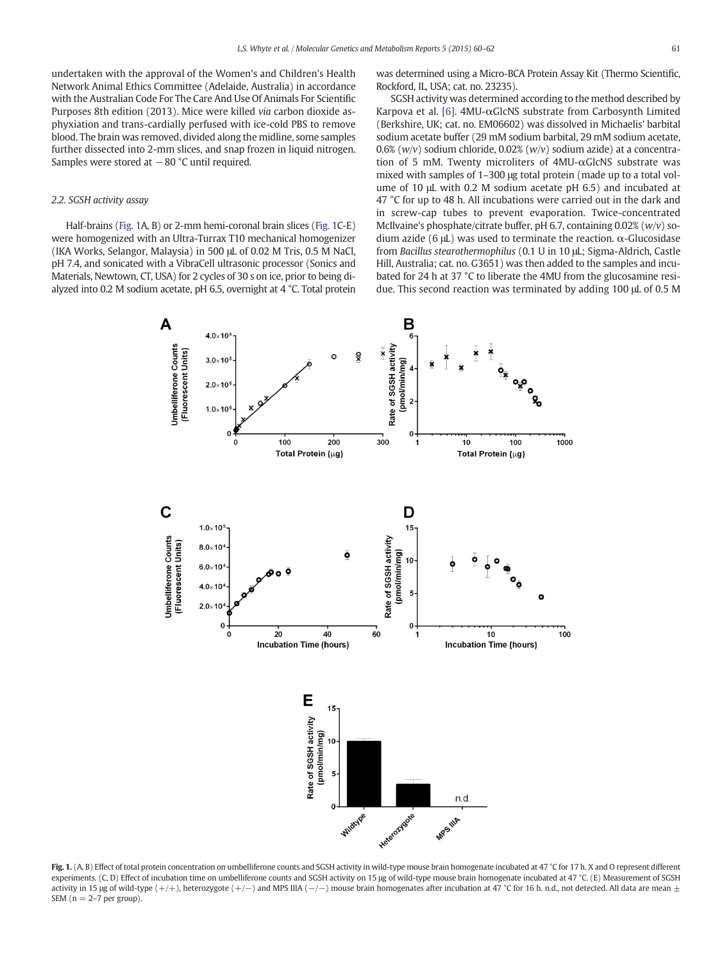<span id="page-1-0"></span>undertaken with the approval of the Women's and Children's Health Network Animal Ethics Committee (Adelaide, Australia) in accordance with the Australian Code For The Care And Use Of Animals For Scientific Purposes 8th edition (2013). Mice were killed via carbon dioxide asphyxiation and trans-cardially perfused with ice-cold PBS to remove blood. The brain was removed, divided along the midline, some samples further dissected into 2-mm slices, and snap frozen in liquid nitrogen. Samples were stored at −80 °C until required.

# 2.2. SGSH activity assay

Half-brains (Fig. 1A, B) or 2-mm hemi-coronal brain slices (Fig. 1C-E) were homogenized with an Ultra-Turrax T10 mechanical homogenizer (IKA Works, Selangor, Malaysia) in 500 μL of 0.02 M Tris, 0.5 M NaCl, pH 7.4, and sonicated with a VibraCell ultrasonic processor (Sonics and Materials, Newtown, CT, USA) for 2 cycles of 30 s on ice, prior to being dialyzed into 0.2 M sodium acetate, pH 6.5, overnight at 4 °C. Total protein was determined using a Micro-BCA Protein Assay Kit (Thermo Scientific, Rockford, IL, USA; cat. no. 23235).

SGSH activity was determined according to the method described by Karpova et al. [\[6\]](#page-2-0).  $4MU-\alpha Glc$ NS substrate from Carbosynth Limited (Berkshire, UK; cat. no. EM06602) was dissolved in Michaelis' barbital sodium acetate buffer (29 mM sodium barbital, 29 mM sodium acetate, 0.6% ( $w/v$ ) sodium chloride, 0.02% ( $w/v$ ) sodium azide) at a concentration of 5 mM. Twenty microliters of 4MU-αGlcNS substrate was mixed with samples of 1–300 μg total protein (made up to a total volume of 10 μL with 0.2 M sodium acetate pH 6.5) and incubated at 47 °C for up to 48 h. All incubations were carried out in the dark and in screw-cap tubes to prevent evaporation. Twice-concentrated McIlvaine's phosphate/citrate buffer, pH 6.7, containing  $0.02\%$  (w/v) sodium azide (6 μL) was used to terminate the reaction. α-Glucosidase from Bacillus stearothermophilus (0.1 U in 10 μL; Sigma-Aldrich, Castle Hill, Australia; cat. no. G3651) was then added to the samples and incubated for 24 h at 37 °C to liberate the 4MU from the glucosamine residue. This second reaction was terminated by adding 100 μL of 0.5 M



Fig. 1. (A, B) Effect of total protein concentration on umbelliferone counts and SGSH activity in wild-type mouse brain homogenate incubated at 47 °C for 17 h. X and O represent different experiments. (C, D) Effect of incubation time on umbelliferone counts and SGSH activity on 15 μg of wild-type mouse brain homogenate incubated at 47 °C. (Ε) Measurement of SGSH activity in 15 µg of wild-type (+/+), heterozygote (+/-) and MPS IIIA (-/-) mouse brain homogenates after incubation at 47 °C for 16 h. n.d., not detected. All data are mean  $\pm$ SEM  $(n = 2-7$  per group).